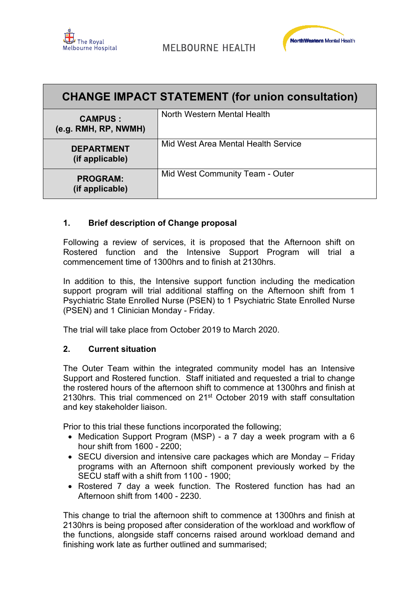



| <b>CHANGE IMPACT STATEMENT (for union consultation)</b> |                                     |  |
|---------------------------------------------------------|-------------------------------------|--|
| <b>CAMPUS:</b><br>(e.g. RMH, RP, NWMH)                  | North Western Mental Health         |  |
| <b>DEPARTMENT</b><br>(if applicable)                    | Mid West Area Mental Health Service |  |
| <b>PROGRAM:</b><br>(if applicable)                      | Mid West Community Team - Outer     |  |

## **1. Brief description of Change proposal**

Following a review of services, it is proposed that the Afternoon shift on Rostered function and the Intensive Support Program will trial a commencement time of 1300hrs and to finish at 2130hrs.

In addition to this, the Intensive support function including the medication support program will trial additional staffing on the Afternoon shift from 1 Psychiatric State Enrolled Nurse (PSEN) to 1 Psychiatric State Enrolled Nurse (PSEN) and 1 Clinician Monday - Friday.

The trial will take place from October 2019 to March 2020.

#### **2. Current situation**

The Outer Team within the integrated community model has an Intensive Support and Rostered function. Staff initiated and requested a trial to change the rostered hours of the afternoon shift to commence at 1300hrs and finish at 2130hrs. This trial commenced on 21<sup>st</sup> October 2019 with staff consultation and key stakeholder liaison.

Prior to this trial these functions incorporated the following;

- Medication Support Program (MSP) a 7 day a week program with a 6 hour shift from 1600 - 2200;
- SECU diversion and intensive care packages which are Monday Friday programs with an Afternoon shift component previously worked by the SECU staff with a shift from 1100 - 1900;
- Rostered 7 day a week function. The Rostered function has had an Afternoon shift from 1400 - 2230.

This change to trial the afternoon shift to commence at 1300hrs and finish at 2130hrs is being proposed after consideration of the workload and workflow of the functions, alongside staff concerns raised around workload demand and finishing work late as further outlined and summarised;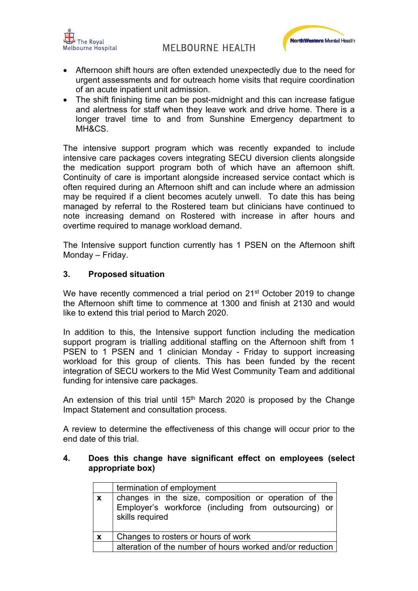



- Afternoon shift hours are often extended unexpectedly due to the need for urgent assessments and for outreach home visits that require coordination of an acute inpatient unit admission.
- The shift finishing time can be post-midnight and this can increase fatigue and alertness for staff when they leave work and drive home. There is a longer travel time to and from Sunshine Emergency department to MH&CS.

The intensive support program which was recently expanded to include intensive care packages covers integrating SECU diversion clients alongside the medication support program both of which have an afternoon shift. Continuity of care is important alongside increased service contact which is often required during an Afternoon shift and can include where an admission may be required if a client becomes acutely unwell. To date this has being managed by referral to the Rostered team but clinicians have continued to note increasing demand on Rostered with increase in after hours and overtime required to manage workload demand.

The Intensive support function currently has 1 PSEN on the Afternoon shift Monday – Friday.

## **3. Proposed situation**

We have recently commenced a trial period on 21<sup>st</sup> October 2019 to change the Afternoon shift time to commence at 1300 and finish at 2130 and would like to extend this trial period to March 2020.

In addition to this, the Intensive support function including the medication support program is trialling additional staffing on the Afternoon shift from 1 PSEN to 1 PSEN and 1 clinician Monday - Friday to support increasing workload for this group of clients. This has been funded by the recent integration of SECU workers to the Mid West Community Team and additional funding for intensive care packages.

An extension of this trial until  $15<sup>th</sup>$  March 2020 is proposed by the Change Impact Statement and consultation process.

A review to determine the effectiveness of this change will occur prior to the end date of this trial.

#### **4. Does this change have significant effect on employees (select appropriate box)**

|                           | termination of employment                                                                                                       |
|---------------------------|---------------------------------------------------------------------------------------------------------------------------------|
| $\mathbf{x}$              | changes in the size, composition or operation of the<br>Employer's workforce (including from outsourcing) or<br>skills required |
| $\boldsymbol{\mathsf{x}}$ | Changes to rosters or hours of work                                                                                             |
|                           | alteration of the number of hours worked and/or reduction                                                                       |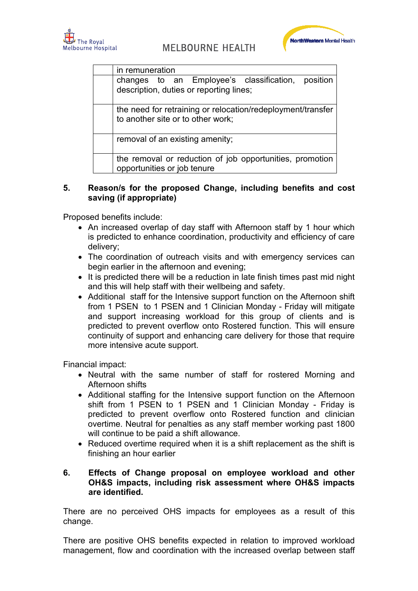



| in remuneration                                                                                  |
|--------------------------------------------------------------------------------------------------|
| changes to an Employee's classification, position<br>description, duties or reporting lines;     |
| the need for retraining or relocation/redeployment/transfer<br>to another site or to other work; |
| removal of an existing amenity;                                                                  |
| the removal or reduction of job opportunities, promotion<br>opportunities or job tenure          |

#### **5. Reason/s for the proposed Change, including benefits and cost saving (if appropriate)**

Proposed benefits include:

- An increased overlap of day staff with Afternoon staff by 1 hour which is predicted to enhance coordination, productivity and efficiency of care delivery;
- The coordination of outreach visits and with emergency services can begin earlier in the afternoon and evening;
- It is predicted there will be a reduction in late finish times past mid night and this will help staff with their wellbeing and safety.
- Additional staff for the Intensive support function on the Afternoon shift from 1 PSEN to 1 PSEN and 1 Clinician Monday - Friday will mitigate and support increasing workload for this group of clients and is predicted to prevent overflow onto Rostered function. This will ensure continuity of support and enhancing care delivery for those that require more intensive acute support.

Financial impact:

- Neutral with the same number of staff for rostered Morning and Afternoon shifts
- Additional staffing for the Intensive support function on the Afternoon shift from 1 PSEN to 1 PSEN and 1 Clinician Monday - Friday is predicted to prevent overflow onto Rostered function and clinician overtime. Neutral for penalties as any staff member working past 1800 will continue to be paid a shift allowance.
- Reduced overtime required when it is a shift replacement as the shift is finishing an hour earlier

#### **6. Effects of Change proposal on employee workload and other OH&S impacts, including risk assessment where OH&S impacts are identified.**

There are no perceived OHS impacts for employees as a result of this change.

There are positive OHS benefits expected in relation to improved workload management, flow and coordination with the increased overlap between staff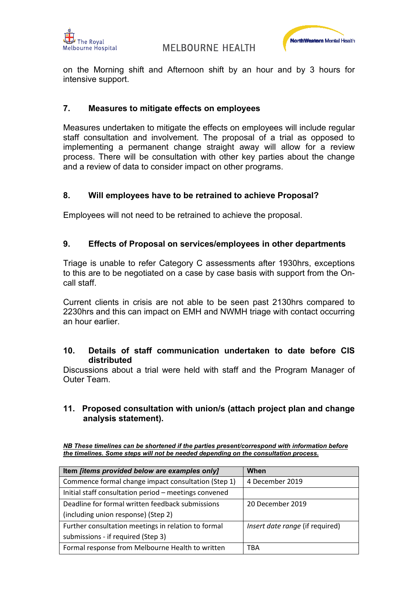



on the Morning shift and Afternoon shift by an hour and by 3 hours for intensive support.

#### **7. Measures to mitigate effects on employees**

Measures undertaken to mitigate the effects on employees will include regular staff consultation and involvement. The proposal of a trial as opposed to implementing a permanent change straight away will allow for a review process. There will be consultation with other key parties about the change and a review of data to consider impact on other programs.

#### **8. Will employees have to be retrained to achieve Proposal?**

Employees will not need to be retrained to achieve the proposal.

#### **9. Effects of Proposal on services/employees in other departments**

Triage is unable to refer Category C assessments after 1930hrs, exceptions to this are to be negotiated on a case by case basis with support from the Oncall staff.

Current clients in crisis are not able to be seen past 2130hrs compared to 2230hrs and this can impact on EMH and NWMH triage with contact occurring an hour earlier.

#### **10. Details of staff communication undertaken to date before CIS distributed**

Discussions about a trial were held with staff and the Program Manager of Outer Team.

#### **11. Proposed consultation with union/s (attach project plan and change analysis statement).**

|                                                                                     |  | NB These timelines can be shortened if the parties present/correspond with information before |
|-------------------------------------------------------------------------------------|--|-----------------------------------------------------------------------------------------------|
| the timelines. Some steps will not be needed depending on the consultation process. |  |                                                                                               |

| Item [items provided below are examples only]         | When                                   |
|-------------------------------------------------------|----------------------------------------|
| Commence formal change impact consultation (Step 1)   | 4 December 2019                        |
| Initial staff consultation period - meetings convened |                                        |
| Deadline for formal written feedback submissions      | 20 December 2019                       |
| (including union response) (Step 2)                   |                                        |
| Further consultation meetings in relation to formal   | <i>Insert date range</i> (if required) |
| submissions - if required (Step 3)                    |                                        |
| Formal response from Melbourne Health to written      | TBA                                    |